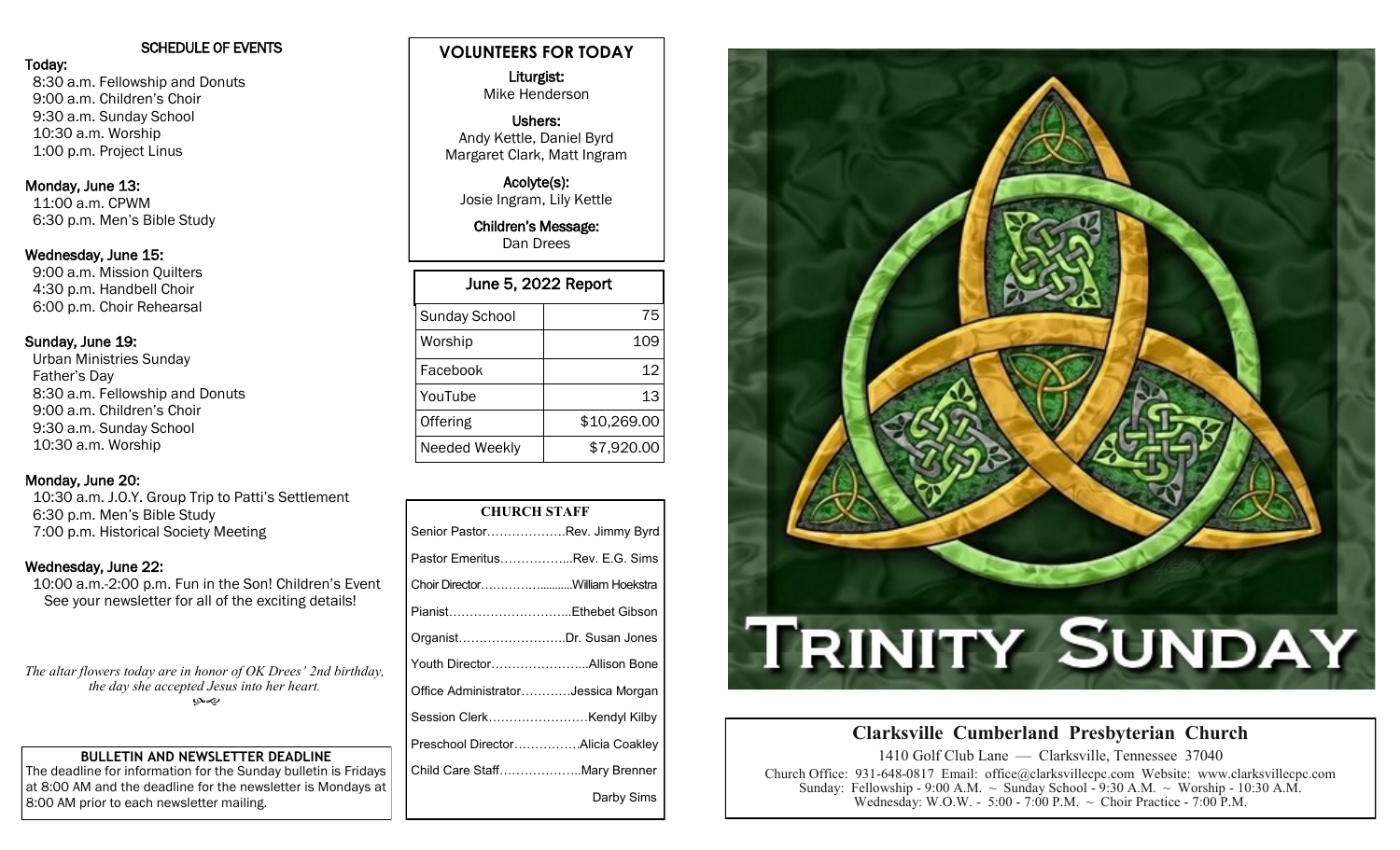## SCHEDULE OF EVENTS

Today: 8:30 a.m. Fellowship and Donuts 9:00 a.m. Children's Choir 9:30 a.m. Sunday School 10:30 a.m. Worship 1:00 p.m. Project Linus

## Monday, June 13:

 11:00 a.m. CPWM 6:30 p.m. Men's Bible Study

#### Wednesday, June 15:

 9:00 a.m. Mission Quilters 4:30 p.m. Handbell Choir 6:00 p.m. Choir Rehearsal

## Sunday, June 19:

 Urban Ministries Sunday Father's Day 8:30 a.m. Fellowship and Donuts 9:00 a.m. Children's Choir 9:30 a.m. Sunday School 10:30 a.m. Worship

## Monday, June 20:

 10:30 a.m. J.O.Y. Group Trip to Patti's Settlement 6:30 p.m. Men's Bible Study 7:00 p.m. Historical Society Meeting

## Wednesday, June 22:

 10:00 a.m.-2:00 p.m. Fun in the Son! Children's Event See your newsletter for all of the exciting details!

*The altar flowers today are in honor of OK Drees' 2nd birthday, the day she accepted Jesus into her heart.*  بهمي

## **BULLETIN AND NEWSLETTER DEADLINE**

The deadline for information for the Sunday bulletin is Fridays at 8:00 AM and the deadline for the newsletter is Mondays at 8:00 AM prior to each newsletter mailing.

# **VOLUNTEERS FOR TODAY**

Liturgist: Mike Henderson

### Ushers: Andy Kettle, Daniel Byrd Margaret Clark, Matt Ingram

Acolyte(s): Josie Ingram, Lily Kettle

Children's Message: Dan Drees

| June 5, 2022 Report  |             |  |  |  |  |
|----------------------|-------------|--|--|--|--|
| <b>Sunday School</b> | 75          |  |  |  |  |
| Worship              | 109         |  |  |  |  |
| Facebook             | 12          |  |  |  |  |
| YouTube              | 13          |  |  |  |  |
| Offering             | \$10,269.00 |  |  |  |  |
| Needed Weekly        | \$7,920.00  |  |  |  |  |

| <b>CHURCH STAFF</b>                    |  |  |  |  |  |
|----------------------------------------|--|--|--|--|--|
|                                        |  |  |  |  |  |
| Senior PastorRev. Jimmy Byrd           |  |  |  |  |  |
| Pastor EmeritusRev. E.G. Sims          |  |  |  |  |  |
| Choir DirectorWilliam Hoekstra         |  |  |  |  |  |
| PianistEthebet Gibson                  |  |  |  |  |  |
| OrganistDr. Susan Jones                |  |  |  |  |  |
| Youth Director……………………Allison Bone     |  |  |  |  |  |
| Office Administrator…………Jessica Morgan |  |  |  |  |  |
| Session ClerkKendyl Kilby              |  |  |  |  |  |
| Preschool DirectorAlicia Coakley       |  |  |  |  |  |
| Child Care StaffMary Brenner           |  |  |  |  |  |
| Darby Sims                             |  |  |  |  |  |



# **Clarksville Cumberland Presbyterian Church**

1410 Golf Club Lane — Clarksville, Tennessee 37040 Church Office: 931-648-0817 Email: office@clarksvillecpc.com Website: www.clarksvillecpc.com Sunday: Fellowship - 9:00 A.M.  $\sim$  Sunday School - 9:30 A.M.  $\sim$  Worship - 10:30 A.M. Wednesday: W.O.W. - 5:00 - 7:00 P.M. ~ Choir Practice - 7:00 P.M.